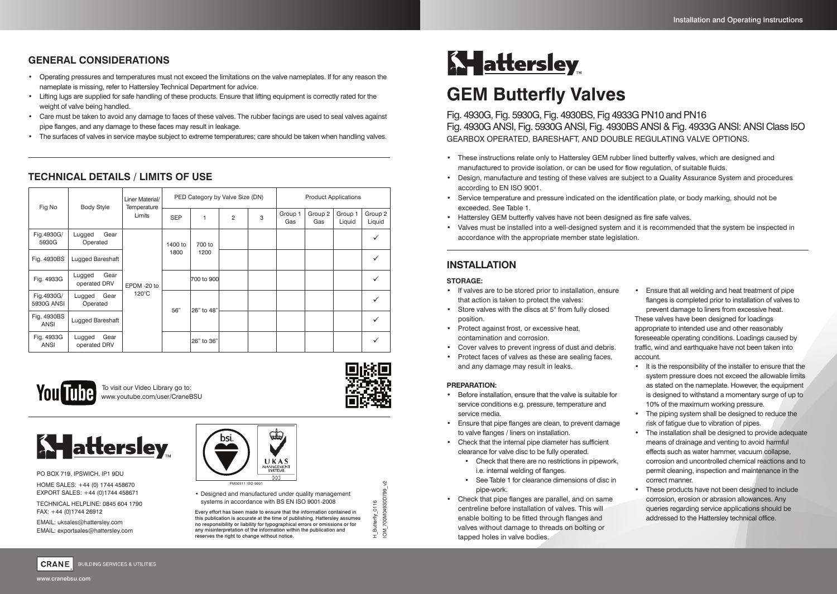## **GENERAL CONSIDERATIONS**

- Operating pressures and temperatures must not exceed the limitations on the valve nameplates. If for any reason the nameplate is missing, refer to Hattersley Technical Department for advice.
- Lifting lugs are supplied for safe handling of these products. Ensure that lifting equipment is correctly rated for the weight of valve being handled.
- Care must be taken to avoid any damage to faces of these valves. The rubber facings are used to seal valves against pipe flanges, and any damage to these faces may result in leakage.
- The surfaces of valves in service maybe subject to extreme temperatures; care should be taken when handling valves.

# **TECHNICAL DETAILS / LIMITS OF USE**

| Fig No                   | <b>Body Style</b>              | Liner Material/<br>Temperature<br>Limits | PED Category by Valve Size (DN) |                |                |   | <b>Product Applications</b> |                |                   |                   |
|--------------------------|--------------------------------|------------------------------------------|---------------------------------|----------------|----------------|---|-----------------------------|----------------|-------------------|-------------------|
|                          |                                |                                          | <b>SEP</b>                      | 1              | $\overline{2}$ | 3 | Group 1<br>Gas              | Group 2<br>Gas | Group 1<br>Liquid | Group 2<br>Liquid |
| Fig.4930G/<br>5930G      | Gear<br>Lugged<br>Operated     | EPDM-20 to<br>$120^{\circ}$ C            | 1400 to<br>1800                 | 700 to<br>1200 |                |   |                             |                |                   | ✓                 |
| Fig. 4930BS              | Lugged Bareshaft               |                                          |                                 |                |                |   |                             |                |                   |                   |
| Fig. 4933G               | Gear<br>Lugged<br>operated DRV |                                          |                                 | 700 to 900     |                |   |                             |                |                   |                   |
| Fig.4930G/<br>5930G ANSI | Gear<br>Lugged<br>Operated     |                                          | 56"                             | 26" to 48"     |                |   |                             |                |                   |                   |
| Fig. 4930BS<br>ANSI      | Lugged Bareshaft               |                                          |                                 |                |                |   |                             |                |                   | ✓                 |
| Fig. 4933G<br>ANSI       | Gear<br>Lugged<br>operated DRV |                                          |                                 | 26" to 36"     |                |   |                             |                |                   |                   |



To visit our Video Library go to: www.youtube.com/user/CraneBSU



**BUILDING SERVICES & UTILITIES** 

PO BOX 719, IPSWICH, IP1 9DU HOME SALES: +44 (0) 1744 458670 EXPORT SALES: +44 (0)1744 458671

TECHNICAL HELPLINE: 0845 604 1790 FAX: +44 (0)1744 26912

EMAIL: uksales@hattersley.com EMAIL: exportsales@hattersley.com



• Designed and manufactured under quality management systems in accordance with BS EN ISO 9001-2008

Every effort has been made to ensure that the information contained in this publication is accurate at the time of publishing. Hattersley assumes no responsibility or liability for typographical errors or omissions or for any misinterpretation of the information within the publication and reserves the right to change without notice.

H\_Butterfly\_0116 IOM\_700M04930D799\_v2

700M04930D799\_v2  $\overline{6}$ 

 $\overline{M}$ 

# **A attersley**

# **GEM Butterfly Valves**

Fig. 4930G, Fig. 5930G, Fig. 4930BS, Fig 4933G PN10 and PN16 Fig. 4930G ANSI, Fig. 5930G ANSI, Fig. 4930BS ANSI & Fig. 4933G ANSI: ANSI Class I5O GEARBOX OPERATED, BARESHAFT, AND DOUBLE REGULATING VALVE OPTIONS.

- These instructions relate only to Hattersley GEM rubber lined butterfly valves, which are designed and manufactured to provide isolation, or can be used for flow regulation, of suitable fluids.
- Design, manufacture and testing of these valves are subject to a Quality Assurance System and procedures according to EN ISO 9001.
- Service temperature and pressure indicated on the identification plate, or body marking, should not be exceeded. See Table 1.
- Hattersley GEM butterfly valves have not been designed as fire safe valves.
- Valves must be installed into a well-designed system and it is recommended that the system be inspected in accordance with the appropriate member state legislation.

# **INSTALLATION**

#### **STORAGE:**

- If valves are to be stored prior to installation, ensure that action is taken to protect the valves:
- Store valves with the discs at 5° from fully closed position.
- Protect against frost, or excessive heat, contamination and corrosion.
- Cover valves to prevent ingress of dust and debris.
- Protect faces of valves as these are sealing faces,
- and any damage may result in leaks.

#### **PREPARATION:**

- Before installation, ensure that the valve is suitable for service conditions e.g. pressure, temperature and service media.
- Ensure that pipe flanges are clean, to prevent damage to valve flanges / liners on installation.
- Check that the internal pipe diameter has sufficient clearance for valve disc to be fully operated.
	- Check that there are no restrictions in pipework, i.e. internal welding of flanges.
	- See Table 1 for clearance dimensions of disc in pipe-work.
- Check that pipe flanges are parallel, and on same centreline before installation of valves. This will enable bolting to be fitted through flanges and valves without damage to threads on bolting or tapped holes in valve bodies.

• Ensure that all welding and heat treatment of pipe flanges is completed prior to installation of valves to prevent damage to liners from excessive heat. These valves have been designed for loadings appropriate to intended use and other reasonably foreseeable operating conditions. Loadings caused by

traffic, wind and earthquake have not been taken into account. • It is the responsibility of the installer to ensure that the

- system pressure does not exceed the allowable limits as stated on the nameplate. However, the equipment is designed to withstand a momentary surge of up to 10% of the maximum working pressure.
- The piping system shall be designed to reduce the risk of fatigue due to vibration of pipes.
- The installation shall be designed to provide adequate means of drainage and venting to avoid harmful effects such as water hammer, vacuum collapse, corrosion and uncontrolled chemical reactions and to permit cleaning, inspection and maintenance in the correct manner.
- These products have not been designed to include corrosion, erosion or abrasion allowances. Any queries regarding service applications should be addressed to the Hattersley technical office.